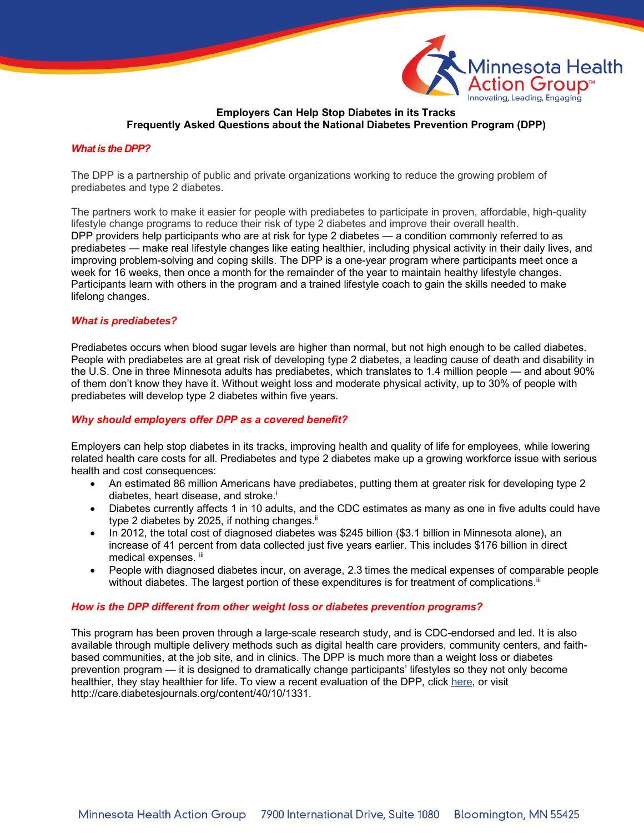

# **Employers Can Help Stop Diabetes in its Tracks Frequently Asked Questions about the National Diabetes Prevention Program (DPP)**

## *What is the DPP?*

The DPP is a partnership of public and private organizations working to reduce the growing problem of prediabetes and type 2 diabetes.

The partners work to make it easier for people with prediabetes to participate in proven, affordable, high-quality lifestyle change programs to reduce their risk of type 2 diabetes and improve their overall health. DPP providers help participants who are at risk for type 2 diabetes — a condition commonly referred to as prediabetes — make real lifestyle changes like eating healthier, including physical activity in their daily lives, and improving problem-solving and coping skills. The DPP is a one-year program where participants meet once a week for 16 weeks, then once a month for the remainder of the year to maintain healthy lifestyle changes. Participants learn with others in the program and a trained lifestyle coach to gain the skills needed to make lifelong changes.

## *What is prediabetes?*

Prediabetes occurs when blood sugar levels are higher than normal, but not high enough to be called diabetes. People with prediabetes are at great risk of developing type 2 diabetes, a leading cause of death and disability in the U.S. One in three Minnesota adults has prediabetes, which translates to 1.4 million people — and about 90% of them don't know they have it. Without weight loss and moderate physical activity, up to 30% of people with prediabetes will develop type 2 diabetes within five years.

# *Why should employers offer DPP as a covered benefit?*

Employers can help stop diabetes in its tracks, improving health and quality of life for employees, while lowering related health care costs for all. Prediabetes and type 2 diabetes make up a growing workforce issue with serious health and cost consequences:

- An estimated 86 million Americans have prediabetes, putting them at greater risk for developing type 2 diabetes, heart disease, and stroke.<sup>i</sup>
- Diabetes currently affects 1 in 10 adults, and the CDC estimates as many as one in five adults could have type 2 diabetes by 2025, if nothing changes.<sup>ii</sup>
- In 2012, the total cost of diagnosed diabetes was \$245 billion (\$3.1 billion in Minnesota alone), an increase of 41 percent from data collected just five years earlier. This includes \$176 billion in direct medical expenses. iii
- People with diagnosed diabetes incur, on average, 2.3 times the medical expenses of comparable people without diabetes. The largest portion of these expenditures is for treatment of complications.<sup>iii</sup>

### *How is the DPP different from other weight loss or diabetes prevention programs?*

This program has been proven through a large-scale research study, and is CDC-endorsed and led. It is also available through multiple delivery methods such as digital health care providers, community centers, and faithbased communities, at the job site, and in clinics. The DPP is much more than a weight loss or diabetes prevention program — it is designed to dramatically change participants' lifestyles so they not only become healthier, they stay healthier for life. To view a recent evaluation of the DPP, click her[e, or](http://care.diabetesjournals.org/content/40/10/1331) visit http://care.diabetesjournals.org/content/40/10/1331.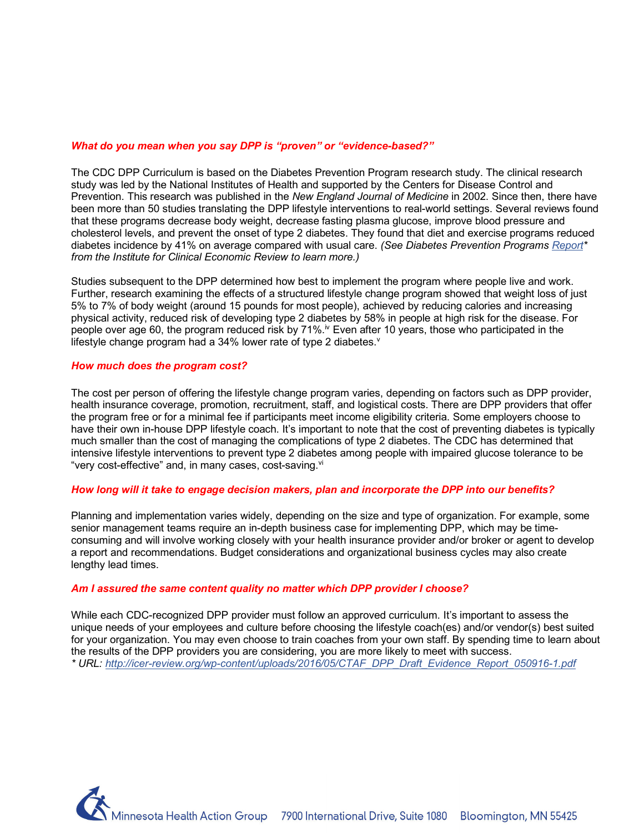### *What do you mean when you say DPP is "proven" or "evidence-based?"*

The CDC DPP Curriculum is based on the Diabetes Prevention Program research study. The clinical research study was led by the National Institutes of Health and supported by the Centers for Disease Control and Prevention. This research was published in the *New England Journal of Medicine* in 2002. Since then, there have been more than 50 studies translating the DPP lifestyle interventions to real-world settings. Several reviews found that these programs decrease body weight, decrease fasting plasma glucose, improve blood pressure and cholesterol levels, and prevent the onset of type 2 diabetes. They found that diet and exercise programs reduced diabetes incidence by 41% on average compared with usual care. *(See Diabetes Prevention Programs Repor[t\\*](http://icer-review.org/wp-content/uploads/2016/05/CTAF_DPP_Draft_Evidence_Report_050916-1.pdf) [from](http://icer-review.org/wp-content/uploads/2016/05/CTAF_DPP_Draft_Evidence_Report_050916-1.pdf) the Institute for Clinical Economic Review to learn more.)*

Studies subsequent to the DPP determined how best to implement the program where people live and work. Further, research examining the effects of a structured lifestyle change program showed that weight loss of just 5% to 7% of body weight (around 15 pounds for most people), achieved by reducing calories and increasing physical activity, reduced risk of developing type 2 diabetes by 58% in people at high risk for the disease. For people over age 60, the program reduced risk by 71%.<sup>iv</sup> Even after 10 years, those who participated in the lifestyle change program had a 34% lower rate of type 2 diabetes. $v$ 

## *How much does the program cost?*

The cost per person of offering the lifestyle change program varies, depending on factors such as DPP provider, health insurance coverage, promotion, recruitment, staff, and logistical costs. There are DPP providers that offer the program free or for a minimal fee if participants meet income eligibility criteria. Some employers choose to have their own in-house DPP lifestyle coach. It's important to note that the cost of preventing diabetes is typically much smaller than the cost of managing the complications of type 2 diabetes. The CDC has determined that intensive lifestyle interventions to prevent type 2 diabetes among people with impaired glucose tolerance to be "very cost-effective" and, in many cases, cost-saving.<sup>vi</sup>

### *How long will it take to engage decision makers, plan and incorporate the DPP into our benefits?*

Planning and implementation varies widely, depending on the size and type of organization. For example, some senior management teams require an in-depth business case for implementing DPP, which may be timeconsuming and will involve working closely with your health insurance provider and/or broker or agent to develop a report and recommendations. Budget considerations and organizational business cycles may also create lengthy lead times.

# *Am I assured the same content quality no matter which DPP provider I choose?*

While each CDC-recognized DPP provider must follow an approved curriculum. It's important to assess the unique needs of your employees and culture before choosing the lifestyle coach(es) and/or vendor(s) best suited for your organization. You may even choose to train coaches from your own staff. By spending time to learn about the results of the DPP providers you are considering, you are more likely to meet with success. *\* URL: http://icer-review.org/wp-content/uploads/2016/05/CTAF\_DPP\_Draft\_Evidence\_Report\_050916-1.pdf*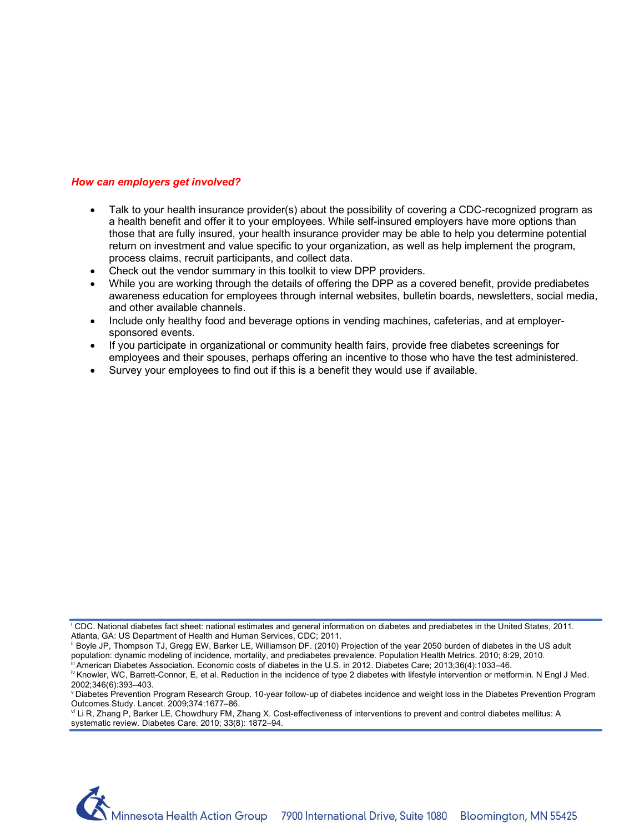# *[How can employers get involved?](http://icer-review.org/wp-content/uploads/2016/05/CTAF_DPP_Draft_Evidence_Report_050916-1.pdf)*

- [Talk to your health insurance provider\(s\) about the p](http://icer-review.org/wp-content/uploads/2016/05/CTAF_DPP_Draft_Evidence_Report_050916-1.pdf)ossibility of covering a CDC-recognized program as a health benefit and offer it to your employees. While self-insured employers have more options than those that are fully insured, your health insurance provider may be able to help you determine potential return on investment and value specific to your organization, as well as help implement the program, process claims, recruit participants, and collect data.
- Check out the vendor summary in this toolkit to view DPP providers.
- While you are working through the details of offering the DPP as a covered benefit, provide prediabetes awareness education for employees through internal websites, bulletin boards, newsletters, social media, and other available channels.
- Include only healthy food and beverage options in vending machines, cafeterias, and at employersponsored events.
- If you participate in organizational or community health fairs, provide free diabetes screenings for employees and their spouses, perhaps offering an incentive to those who have the test administered.
- Survey your employees to find out if this is a benefit they would use if available.

<sup>i</sup> CDC. National diabetes fact sheet: national estimates and general information on diabetes and prediabetes in the United States, 2011. Atlanta, GA: US Department of Health and Human Services, CDC; 2011.

ii Boyle JP, Thompson TJ, Gregg EW, Barker LE, Williamson DF. (2010) Projection of the year 2050 burden of diabetes in the US adult population: dynamic modeling of incidence, mortality, and prediabetes prevalence. Population Health Metrics. 2010; 8:29, 2010.

<sup>&</sup>lt;sup>i</sup> American Diabetes Association. Economic costs of diabetes in the U.S. in 2012. Diabetes Care; 2013;36(4):1033-46.

iv Knowler, WC, Barrett-Connor, E, et al. Reduction in the incidence of type 2 diabetes with lifestyle intervention or metformin. N Engl J Med. 2002;346(6):393–403.

v Diabetes Prevention Program Research Group. 10-year follow-up of diabetes incidence and weight loss in the Diabetes Prevention Program Outcomes Study. Lancet. 2009;374:1677–86.<br><sup>vi</sup> Li R, Zhang P, Barker LE, Chowdhury FM, Zhang X. Cost-effectiveness of interventions to prevent and control diabetes mellitus: A

systematic review. Diabetes Care. 2010; 33(8): 1872–94.